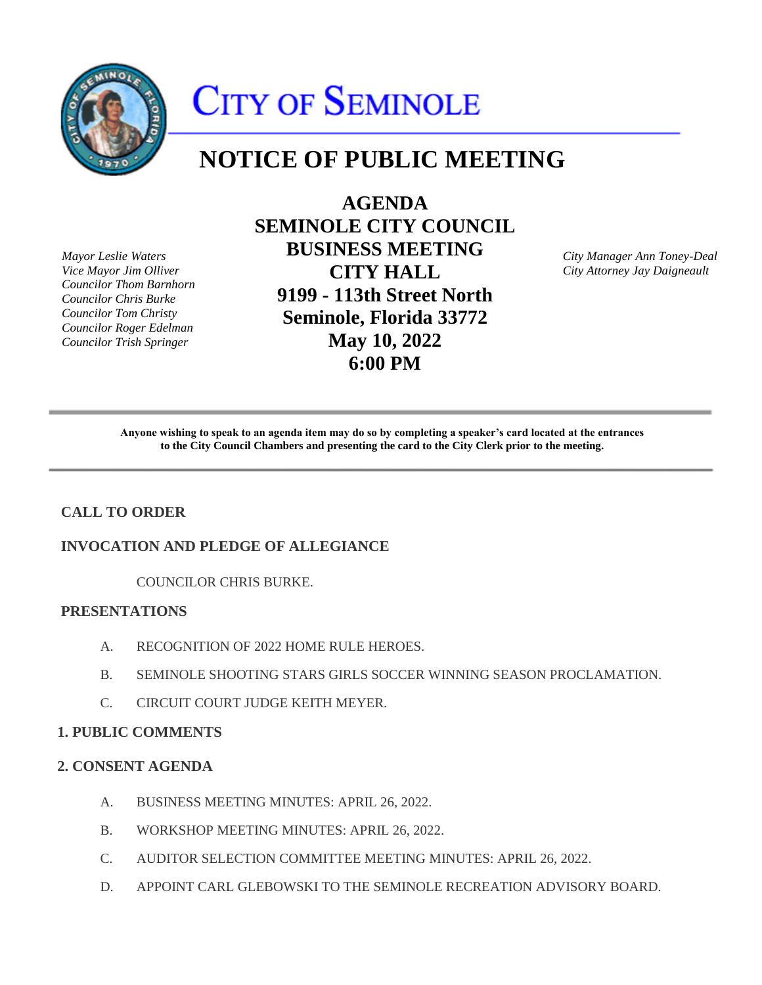

# CITY OF SEMINOLE

# **NOTICE OF PUBLIC MEETING**

*Mayor Leslie Waters Vice Mayor Jim Olliver Councilor Thom Barnhorn Councilor Chris Burke Councilor Tom Christy Councilor Roger Edelman Councilor Trish Springer* 

**AGENDA SEMINOLE CITY COUNCIL BUSINESS MEETING CITY HALL 9199 - 113th Street North Seminole, Florida 33772 May 10, 2022 6:00 PM** 

*City Manager Ann Toney-Deal City Attorney Jay Daigneault* 

Anyone wishing to speak to an agenda item may do so by completing a speaker's card located at the entrances  **to the City Council Chambers and presenting the card to the City Clerk prior to the meeting.** 

# **CALL TO ORDER**

# **INVOCATION AND PLEDGE OF ALLEGIANCE**

COUNCILOR CHRIS BURKE.

# **PRESENTATIONS**

- A. RECOGNITION OF 2022 HOME RULE HEROES.
- B. SEMINOLE SHOOTING STARS GIRLS SOCCER WINNING SEASON PROCLAMATION.
- C. CIRCUIT COURT JUDGE KEITH MEYER.

# **1. PUBLIC COMMENTS**

# **2. CONSENT AGENDA**

- A. BUSINESS MEETING MINUTES: APRIL 26, 2022.
- B. WORKSHOP MEETING MINUTES: APRIL 26, 2022.
- C. AUDITOR SELECTION COMMITTEE MEETING MINUTES: APRIL 26, 2022.
- D. APPOINT CARL GLEBOWSKI TO THE SEMINOLE RECREATION ADVISORY BOARD.